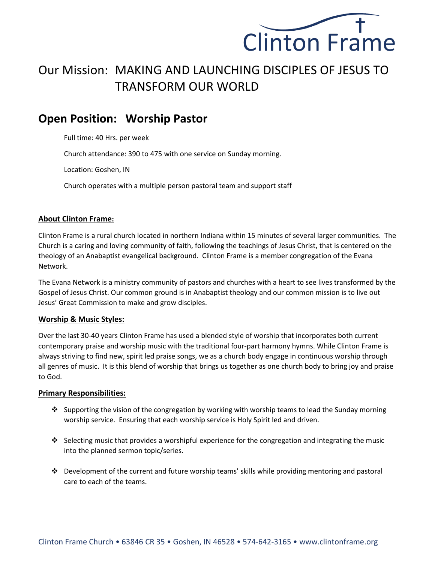

# Our Mission: MAKING AND LAUNCHING DISCIPLES OF JESUS TO TRANSFORM OUR WORLD

## **Open Position: Worship Pastor**

Full time: 40 Hrs. per week

Church attendance: 390 to 475 with one service on Sunday morning.

Location: Goshen, IN

Church operates with a multiple person pastoral team and support staff

### **About Clinton Frame:**

Clinton Frame is a rural church located in northern Indiana within 15 minutes of several larger communities. The Church is a caring and loving community of faith, following the teachings of Jesus Christ, that is centered on the theology of an Anabaptist evangelical background. Clinton Frame is a member congregation of the Evana Network.

The Evana Network is a ministry community of pastors and churches with a heart to see lives transformed by the Gospel of Jesus Christ. Our common ground is in Anabaptist theology and our common mission is to live out Jesus' Great Commission to make and grow disciples.

### **Worship & Music Styles:**

Over the last 30-40 years Clinton Frame has used a blended style of worship that incorporates both current contemporary praise and worship music with the traditional four-part harmony hymns. While Clinton Frame is always striving to find new, spirit led praise songs, we as a church body engage in continuous worship through all genres of music. It is this blend of worship that brings us together as one church body to bring joy and praise to God.

#### **Primary Responsibilities:**

- ❖ Supporting the vision of the congregation by working with worship teams to lead the Sunday morning worship service. Ensuring that each worship service is Holy Spirit led and driven.
- ❖ Selecting music that provides a worshipful experience for the congregation and integrating the music into the planned sermon topic/series.
- ❖ Development of the current and future worship teams' skills while providing mentoring and pastoral care to each of the teams.